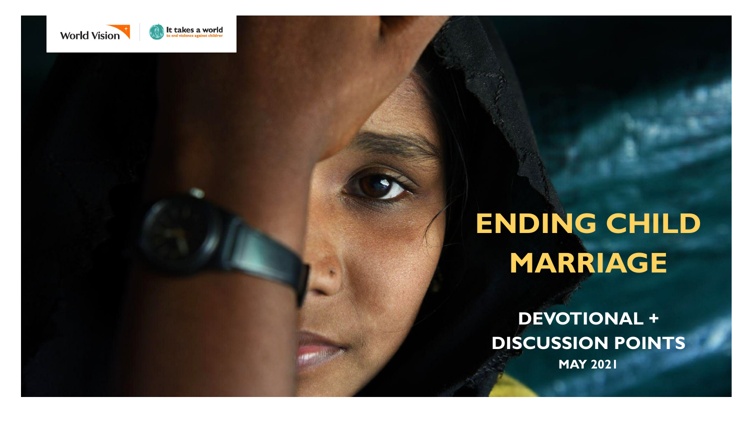

## **ENDING CHILD MARRIAGE**

**DEVOTIONAL + DISCUSSION POINTS MAY 2021**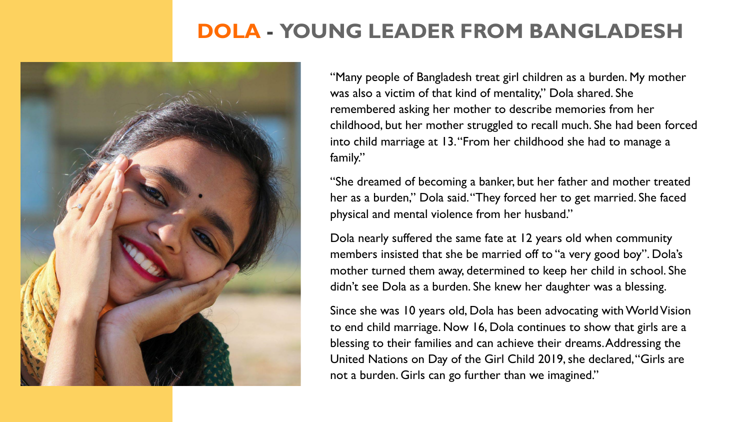### **DOLA - YOUNG LEADER FROM BANGLADESH**



"Many people of Bangladesh treat girl children as a burden. My mother was also a victim of that kind of mentality," Dola shared. She remembered asking her mother to describe memories from her childhood, but her mother struggled to recall much. She had been forced into child marriage at 13. "From her childhood she had to manage a family."

"She dreamed of becoming a banker, but her father and mother treated her as a burden," Dola said. "They forced her to get married. She faced physical and mental violence from her husband."

Dola nearly suffered the same fate at 12 years old when community members insisted that she be married off to "a very good boy". Dola's mother turned them away, determined to keep her child in school. She didn't see Dola as a burden. She knew her daughter was a blessing.

Since she was 10 years old, Dola has been advocating with World Vision to end child marriage. Now 16, Dola continues to show that girls are a blessing to their families and can achieve their dreams. Addressing the United Nations on Day of the Girl Child 2019, she declared, "Girls are not a burden. Girls can go further than we imagined."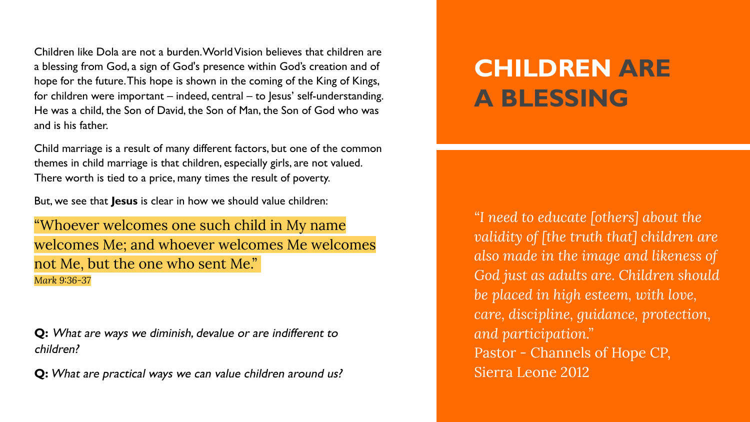Children like Dola are not a burden. World Vision believes that children are a blessing from God, a sign of God's presence within God's creation and of hope for the future. This hope is shown in the coming of the King of Kings, for children were important – indeed, central – to Jesus' self-understanding. He was a child, the Son of David, the Son of Man, the Son of God who was and is his father.

Child marriage is a result of many different factors, but one of the common themes in child marriage is that children, especially girls, are not valued. There worth is tied to a price, many times the result of poverty.

But, we see that **Jesus** is clear in how we should value children:

"Whoever welcomes one such child in My name welcomes Me; and whoever welcomes Me welcomes not Me, but the one who sent Me." *Mark 9:36-37*

**Q:** What are ways we diminish, devalue or are indifferent to children?

**Q:** What are practical ways we can value children around us?

### **CHILDREN ARE A BLESSING**

*"I need to educate [others] about the validity of [the truth that] children are also made in the image and likeness of God just as adults are. Children should be placed in high esteem, with love, care, discipline, guidance, protection, and participation."*  Pastor - Channels of Hope CP, Sierra Leone 2012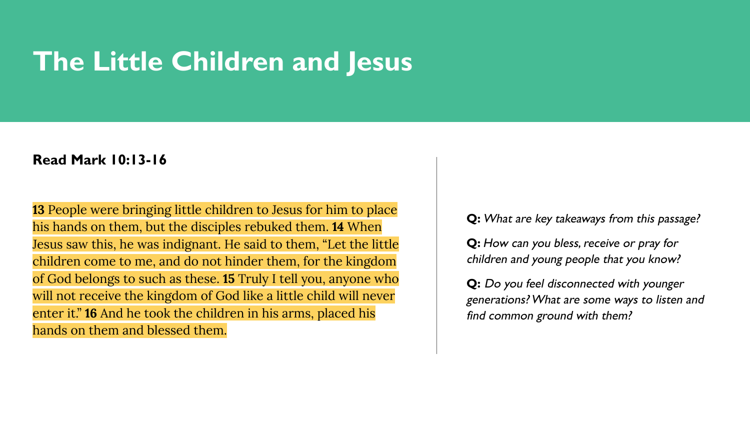## **The Little Children and Jesus**

#### **Read Mark 10:13-16**

**13** People were bringing little children to Jesus for him to place his hands on them, but the disciples rebuked them. **14** When Jesus saw this, he was indignant. He said to them, "Let the little children come to me, and do not hinder them, for the kingdom of God belongs to such as these. **15** Truly I tell you, anyone who will not receive the kingdom of God like a little child will never enter it." **16** And he took the children in his arms, placed his hands on them and blessed them.

**Q:** What are key takeaways from this passage?

**Q:** How can you bless, receive or pray for children and young people that you know?

**Q:** Do you feel disconnected with younger generations? What are some ways to listen and find common ground with them?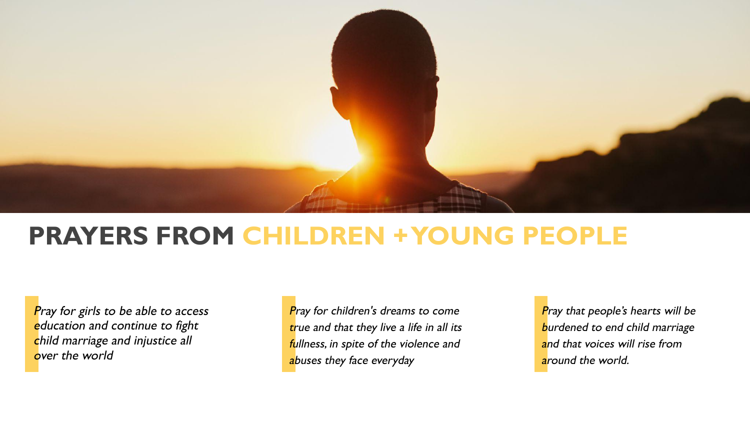

### **PRAYERS FROM CHILDREN + YOUNG PEOPLE**

Pray for girls to be able to access education and continue to fight child marriage and injustice all over the world

Pray for children's dreams to come true and that they live a life in all its fullness, in spite of the violence and abuses they face everyday

Pray that people's hearts will be burdened to end child marriage and that voices will rise from around the world.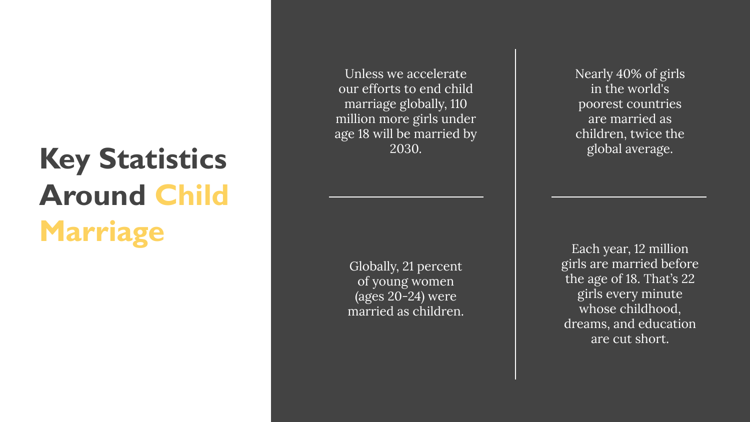# **Key Statistics Around Child Marriage** Each year, 12 million

Unless we accelerate our efforts to end child marriage globally, 110 million more girls under age 18 will be married by 2030.

> Globally, 21 percent of young women (ages 20-24) were married as children.

Nearly 40% of girls in the world's poorest countries are married as children, twice the global average.

girls are married before the age of 18. That's 22 girls every minute whose childhood, dreams, and education are cut short.